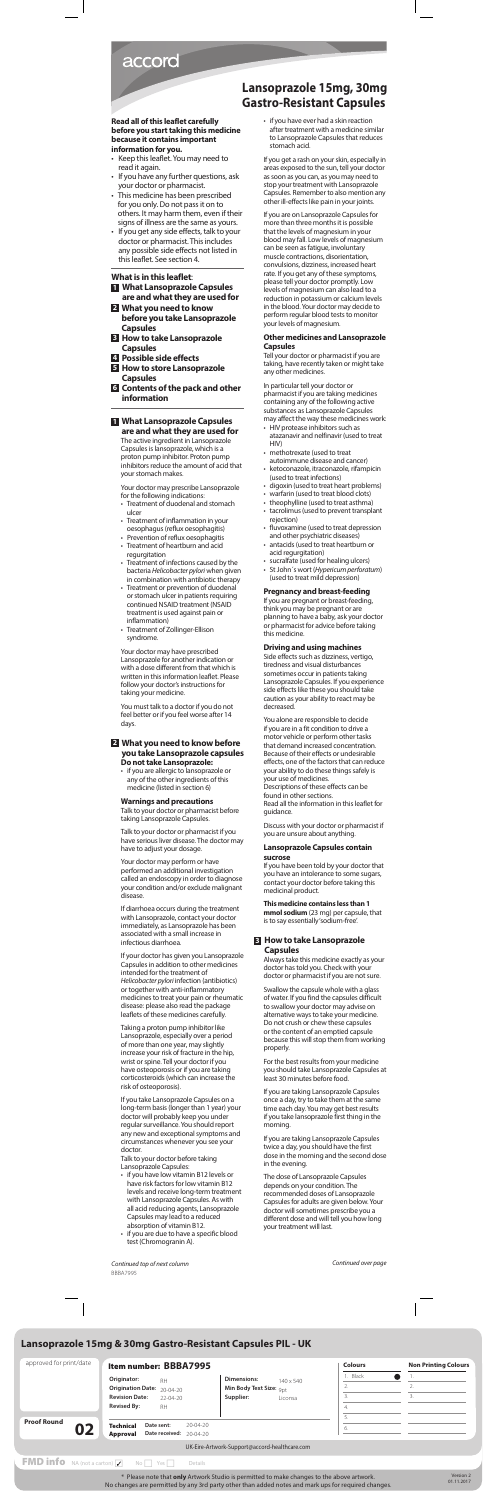*Continued over page*

## **Lansoprazole 15mg, 30mg Gastro-Resistant Capsules**

*Continued top of next column* BBBA7995

# accord

## **Read all of this leaflet carefully before you start taking this medicine because it contains important information for you.**

- Keep this leaflet. You may need to read it again.
- If you have any further questions, ask your doctor or pharmacist.
- This medicine has been prescribed for you only. Do not pass it on to others. It may harm them, even if their signs of illness are the same as yours.
- If you get any side effects, talk to your doctor or pharmacist. This includes any possible side effects not listed in this leaflet. See section 4.

## **What is in this leaflet**:

- **1 What Lansoprazole Capsules**
- **are and what they are used for 2 What you need to know before you take Lansoprazole Capsules**
- **3 How to take Lansoprazole Capsules**
- **4 Possible side effects**
- **5 How to store Lansoprazole Capsules**
- **6 Contents of the pack and other information**

## **1 What Lansoprazole Capsules are and what they are used for**

The active ingredient in Lansoprazole Capsules is lansoprazole, which is a proton pump inhibitor. Proton pump inhibitors reduce the amount of acid that your stomach makes.

Your doctor may prescribe Lansoprazole for the following indications:

- Treatment of duodenal and stomach ulcer
- Treatment of inflammation in your oesophagus (reflux oesophagitis)
- Prevention of reflux oesophagitis • Treatment of heartburn and acid
- regurgitation • Treatment of infections caused by the
- bacteria *Helicobacter pylori* when given in combination with antibiotic therapy
- Treatment or prevention of duodenal or stomach ulcer in patients requiring continued NSAID treatment (NSAID treatment is used against pain or inflammation)
- Treatment of Zollinger-Ellison syndrome.

Your doctor may have prescribed Lansoprazole for another indication or with a dose different from that which is written in this information leaflet. Please follow your doctor's instructions for taking your medicine.

You must talk to a doctor if you do not feel better or if you feel worse after 14 days.

## **2 What you need to know before you take Lansoprazole capsules Do not take Lansoprazole:**

• if you are allergic to lansoprazole or any of the other ingredients of this medicine (listed in section 6)

#### **Warnings and precautions**

Talk to your doctor or pharmacist before taking Lansoprazole Capsules.

Talk to your doctor or pharmacist if you have serious liver disease. The doctor may have to adjust your dosage.

Your doctor may perform or have performed an additional investigation called an endoscopy in order to diagnose your condition and/or exclude malignant disease.

If diarrhoea occurs during the treatment with Lansoprazole, contact your doctor immediately, as Lansoprazole has been associated with a small increase in infectious diarrhoea.

If your doctor has given you Lansoprazole Capsules in addition to other medicines intended for the treatment of *Helicobacter pylori* infection (antibiotics) or together with anti-inflammatory medicines to treat your pain or rheumatic disease: please also read the package leaflets of these medicines carefully.

Taking a proton pump inhibitor like Lansoprazole, especially over a period of more than one year, may slightly increase your risk of fracture in the hip, wrist or spine. Tell your doctor if you have osteoporosis or if you are taking corticosteroids (which can increase the risk of osteoporosis).

If you take Lansoprazole Capsules on a long-term basis (longer than 1 year) your doctor will probably keep you under regular surveillance. You should report any new and exceptional symptoms and circumstances whenever you see your doctor.

Talk to your doctor before taking Lansoprazole Capsules:

- if you have low vitamin B12 levels or have risk factors for low vitamin B12 levels and receive long-term treatment with Lansoprazole Capsules. As with all acid reducing agents, Lansoprazole Capsules may lead to a reduced absorption of vitamin B12.
- if you are due to have a specific blood test (Chromogranin A).

• if you have ever had a skin reaction after treatment with a medicine similar to Lansoprazole Capsules that reduces stomach acid.

If you get a rash on your skin, especially in areas exposed to the sun, tell your doctor as soon as you can, as you may need to stop your treatment with Lansoprazole Capsules. Remember to also mention any other ill-effects like pain in your joints.

If you are on Lansoprazole Capsules for more than three months it is possible that the levels of magnesium in your blood may fall. Low levels of magnesium can be seen as fatigue, involuntary muscle contractions, disorientation, convulsions, dizziness, increased heart rate. If you get any of these symptoms, please tell your doctor promptly. Low levels of magnesium can also lead to a reduction in potassium or calcium levels in the blood. Your doctor may decide to perform regular blood tests to monitor your levels of magnesium.

## **Other medicines and Lansoprazole Capsules**

Tell your doctor or pharmacist if you are taking, have recently taken or might take any other medicines.

In particular tell your doctor or pharmacist if you are taking medicines containing any of the following active substances as Lansoprazole Capsules may affect the way these medicines work:

- HIV protease inhibitors such as atazanavir and nelfinavir (used to treat HIV)
- methotrexate (used to treat autoimmune disease and cancer)
- ketoconazole, itraconazole, rifampicin (used to treat infections)
- digoxin (used to treat heart problems)
- warfarin (used to treat blood clots)
- theophylline (used to treat asthma)
- tacrolimus (used to prevent transplant
- rejection) • fluvoxamine (used to treat depression
- and other psychiatric diseases) • antacids (used to treat heartburn or acid regurgitation)
- sucralfate (used for healing ulcers)
- St John´s wort (*Hypericum perforatum*) (used to treat mild depression)

## **Pregnancy and breast-feeding**

If you are pregnant or breast-feeding, think you may be pregnant or are planning to have a baby, ask your doctor or pharmacist for advice before taking this medicine.

#### **Driving and using machines**

Side effects such as dizziness, vertigo, tiredness and visual disturbances sometimes occur in patients taking Lansoprazole Capsules. If you experience side effects like these you should take caution as your ability to react may be decreased.

You alone are responsible to decide if you are in a fit condition to drive a motor vehicle or perform other tasks that demand increased concentration. Because of their effects or undesirable effects, one of the factors that can reduce your ability to do these things safely is your use of medicines. Descriptions of these effects can be found in other sections. Read all the information in this leaflet for guidance.

Discuss with your doctor or pharmacist if you are unsure about anything.

#### **Lansoprazole Capsules contain sucrose**

If you have been told by your doctor that you have an intolerance to some sugars, contact your doctor before taking this medicinal product.

**This medicine contains less than 1 mmol sodium** (23 mg) per capsule, that is to say essentially 'sodium-free'.

## **3 How to take Lansoprazole Capsules**

Always take this medicine exactly as your doctor has told you. Check with your doctor or pharmacist if you are not sure.

Swallow the capsule whole with a glass of water. If you find the capsules difficult to swallow your doctor may advise on alternative ways to take your medicine. Do not crush or chew these capsules or the content of an emptied capsule because this will stop them from working properly.

For the best results from your medicine you should take Lansoprazole Capsules at least 30 minutes before food.

If you are taking Lansoprazole Capsules once a day, try to take them at the same time each day. You may get best results if you take lansoprazole first thing in the morning.

If you are taking Lansoprazole Capsules twice a day, you should have the first dose in the morning and the second dose in the evening.

The dose of Lansoprazole Capsules depends on your condition. The recommended doses of Lansoprazole Capsules for adults are given below. Your doctor will sometimes prescribe you a different dose and will tell you how long your treatment will last.